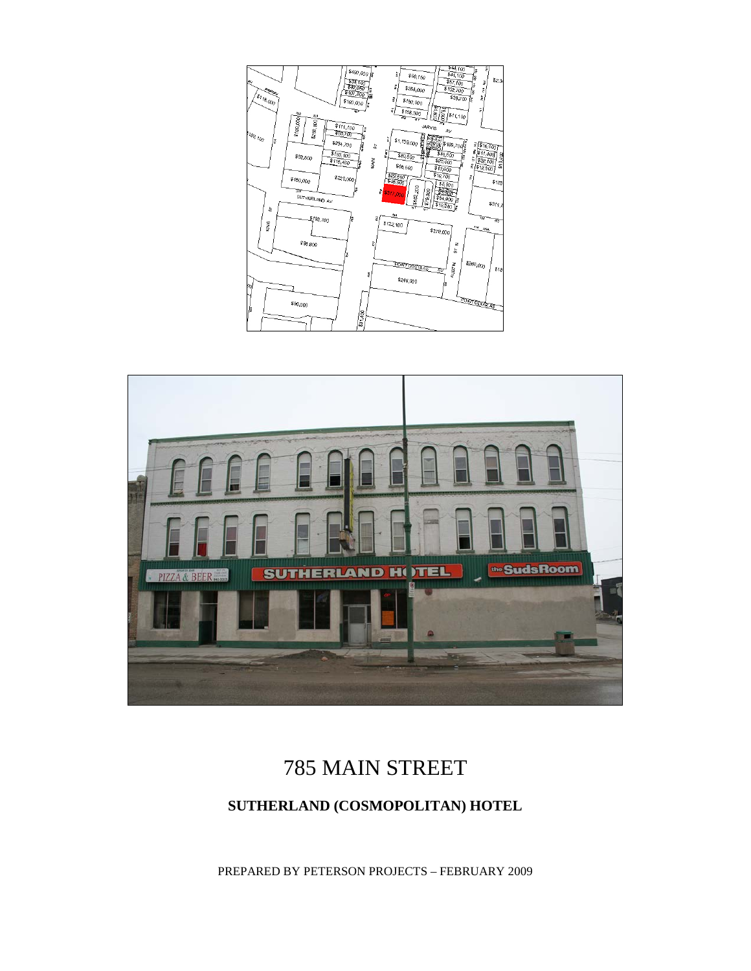



# 785 MAIN STREET

### **SUTHERLAND (COSMOPOLITAN) HOTEL**

PREPARED BY PETERSON PROJECTS – FEBRUARY 2009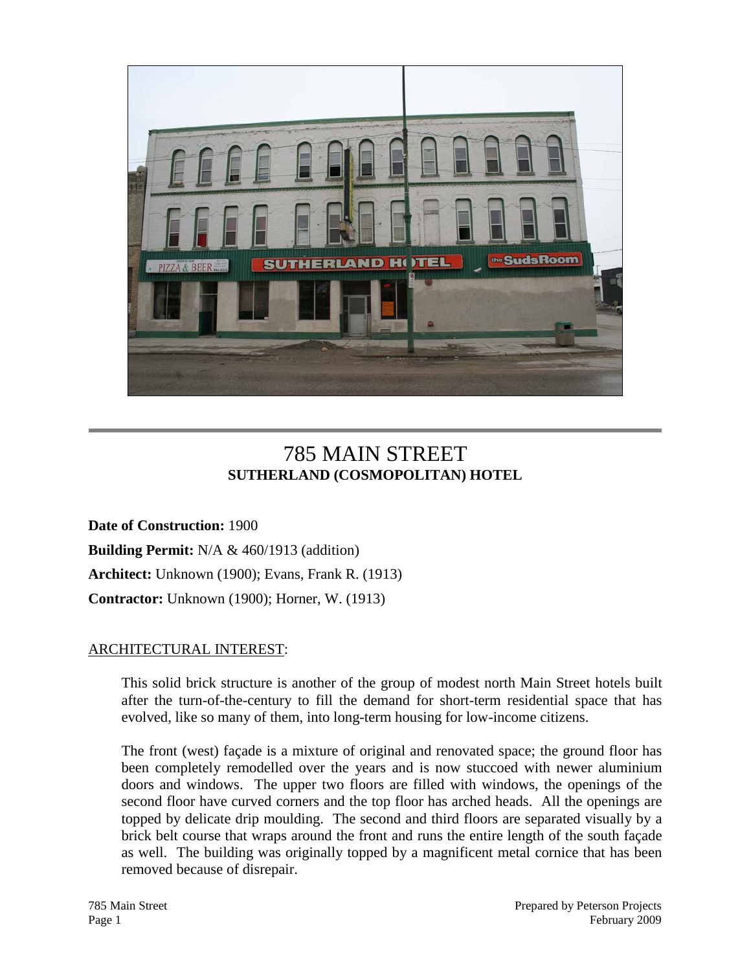

## 785 MAIN STREET **SUTHERLAND (COSMOPOLITAN) HOTEL**

**Date of Construction:** 1900 **Building Permit:** N/A & 460/1913 (addition) **Architect:** Unknown (1900); Evans, Frank R. (1913) **Contractor:** Unknown (1900); Horner, W. (1913)

#### ARCHITECTURAL INTEREST:

This solid brick structure is another of the group of modest north Main Street hotels built after the turn-of-the-century to fill the demand for short-term residential space that has evolved, like so many of them, into long-term housing for low-income citizens.

The front (west) façade is a mixture of original and renovated space; the ground floor has been completely remodelled over the years and is now stuccoed with newer aluminium doors and windows. The upper two floors are filled with windows, the openings of the second floor have curved corners and the top floor has arched heads. All the openings are topped by delicate drip moulding. The second and third floors are separated visually by a brick belt course that wraps around the front and runs the entire length of the south façade as well. The building was originally topped by a magnificent metal cornice that has been removed because of disrepair.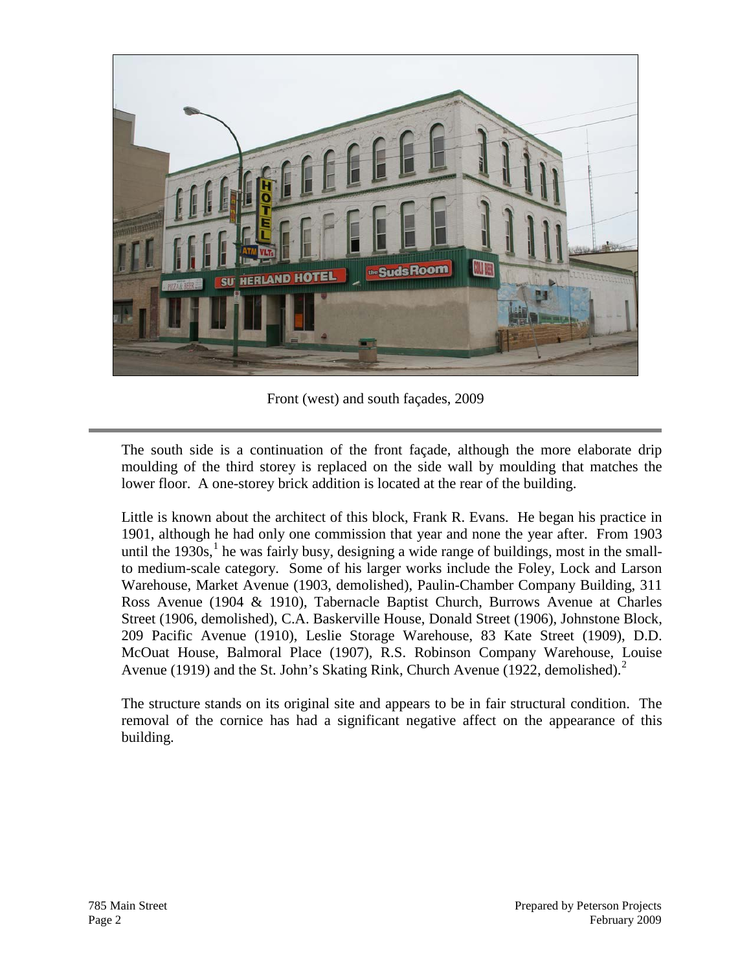

Front (west) and south façades, 2009

The south side is a continuation of the front façade, although the more elaborate drip moulding of the third storey is replaced on the side wall by moulding that matches the lower floor. A one-storey brick addition is located at the rear of the building.

Little is known about the architect of this block, Frank R. Evans. He began his practice in 1901, although he had only one commission that year and none the year after. From 1903 until the  $1930s<sup>1</sup>$  $1930s<sup>1</sup>$ , he was fairly busy, designing a wide range of buildings, most in the smallto medium-scale category. Some of his larger works include the Foley, Lock and Larson Warehouse, Market Avenue (1903, demolished), Paulin-Chamber Company Building, 311 Ross Avenue (1904 & 1910), Tabernacle Baptist Church, Burrows Avenue at Charles Street (1906, demolished), C.A. Baskerville House, Donald Street (1906), Johnstone Block, 209 Pacific Avenue (1910), Leslie Storage Warehouse, 83 Kate Street (1909), D.D. McOuat House, Balmoral Place (1907), R.S. Robinson Company Warehouse, Louise Avenue (1919) and the St. John's Skating Rink, Church Avenue (19[2](#page-4-1)2, demolished).<sup>2</sup>

The structure stands on its original site and appears to be in fair structural condition. The removal of the cornice has had a significant negative affect on the appearance of this building.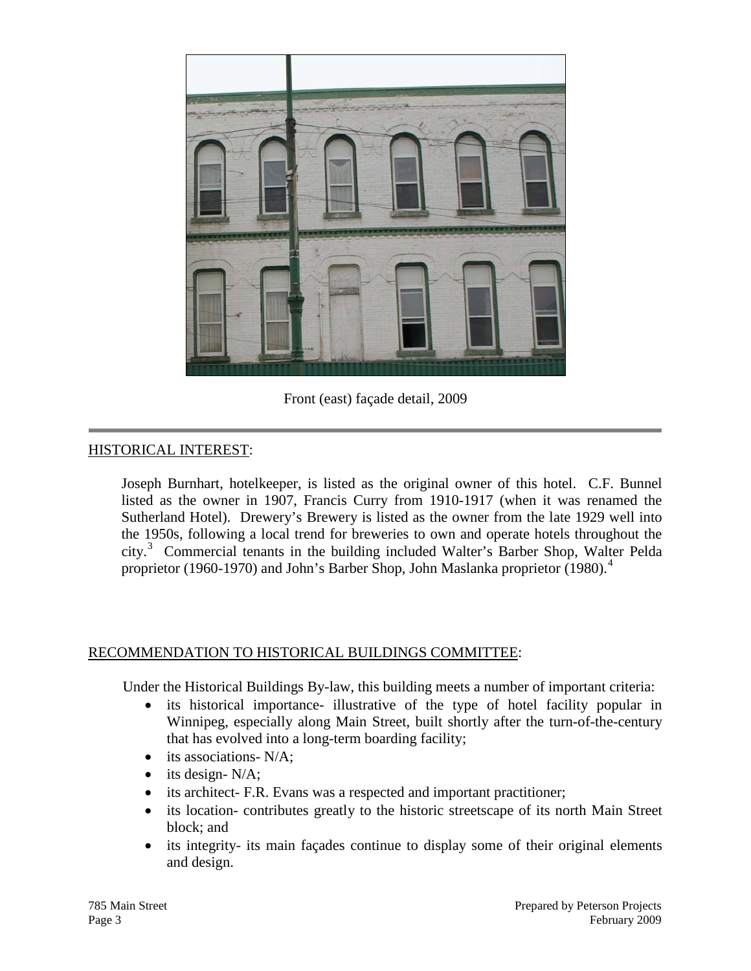

Front (east) façade detail, 2009

#### HISTORICAL INTEREST:

Joseph Burnhart, hotelkeeper, is listed as the original owner of this hotel. C.F. Bunnel listed as the owner in 1907, Francis Curry from 1910-1917 (when it was renamed the Sutherland Hotel). Drewery's Brewery is listed as the owner from the late 1929 well into the 1950s, following a local trend for breweries to own and operate hotels throughout the city.[3](#page-4-2) Commercial tenants in the building included Walter's Barber Shop, Walter Pelda proprietor (1960-1970) and John's Barber Shop, John Maslanka proprietor (1980).[4](#page-4-3)

#### RECOMMENDATION TO HISTORICAL BUILDINGS COMMITTEE:

Under the Historical Buildings By-law, this building meets a number of important criteria:

- its historical importance- illustrative of the type of hotel facility popular in Winnipeg, especially along Main Street, built shortly after the turn-of-the-century that has evolved into a long-term boarding facility;
- its associations- N/A:
- its design- N/A;
- its architect- F.R. Evans was a respected and important practitioner;
- its location- contributes greatly to the historic streetscape of its north Main Street block; and
- its integrity- its main façades continue to display some of their original elements and design.